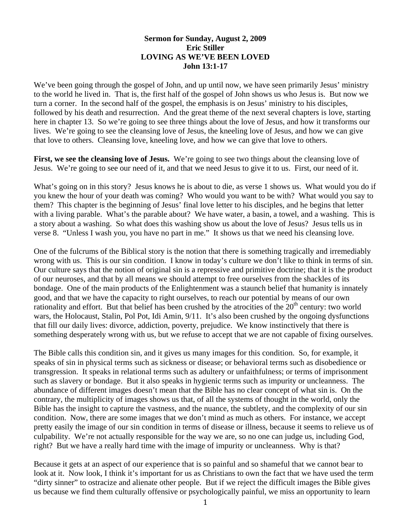## **Sermon for Sunday, August 2, 2009 Eric Stiller LOVING AS WE'VE BEEN LOVED John 13:1-17**

We've been going through the gospel of John, and up until now, we have seen primarily Jesus' ministry to the world he lived in. That is, the first half of the gospel of John shows us who Jesus is. But now we turn a corner. In the second half of the gospel, the emphasis is on Jesus' ministry to his disciples, followed by his death and resurrection. And the great theme of the next several chapters is love, starting here in chapter 13. So we're going to see three things about the love of Jesus, and how it transforms our lives. We're going to see the cleansing love of Jesus, the kneeling love of Jesus, and how we can give that love to others. Cleansing love, kneeling love, and how we can give that love to others.

First, we see the cleansing love of Jesus. We're going to see two things about the cleansing love of Jesus. We're going to see our need of it, and that we need Jesus to give it to us. First, our need of it.

What's going on in this story? Jesus knows he is about to die, as verse 1 shows us. What would you do if you knew the hour of your death was coming? Who would you want to be with? What would you say to them? This chapter is the beginning of Jesus' final love letter to his disciples, and he begins that letter with a living parable. What's the parable about? We have water, a basin, a towel, and a washing. This is a story about a washing. So what does this washing show us about the love of Jesus? Jesus tells us in verse 8. "Unless I wash you, you have no part in me." It shows us that we need his cleansing love.

One of the fulcrums of the Biblical story is the notion that there is something tragically and irremediably wrong with us. This is our sin condition. I know in today's culture we don't like to think in terms of sin. Our culture says that the notion of original sin is a repressive and primitive doctrine; that it is the product of our neuroses, and that by all means we should attempt to free ourselves from the shackles of its bondage. One of the main products of the Enlightenment was a staunch belief that humanity is innately good, and that we have the capacity to right ourselves, to reach our potential by means of our own rationality and effort. But that belief has been crushed by the atrocities of the  $20<sup>th</sup>$  century: two world wars, the Holocaust, Stalin, Pol Pot, Idi Amin, 9/11. It's also been crushed by the ongoing dysfunctions that fill our daily lives: divorce, addiction, poverty, prejudice. We know instinctively that there is something desperately wrong with us, but we refuse to accept that we are not capable of fixing ourselves.

The Bible calls this condition sin, and it gives us many images for this condition. So, for example, it speaks of sin in physical terms such as sickness or disease; or behavioral terms such as disobedience or transgression. It speaks in relational terms such as adultery or unfaithfulness; or terms of imprisonment such as slavery or bondage. But it also speaks in hygienic terms such as impurity or uncleanness. The abundance of different images doesn't mean that the Bible has no clear concept of what sin is. On the contrary, the multiplicity of images shows us that, of all the systems of thought in the world, only the Bible has the insight to capture the vastness, and the nuance, the subtlety, and the complexity of our sin condition. Now, there are some images that we don't mind as much as others. For instance, we accept pretty easily the image of our sin condition in terms of disease or illness, because it seems to relieve us of culpability. We're not actually responsible for the way we are, so no one can judge us, including God, right? But we have a really hard time with the image of impurity or uncleanness. Why is that?

Because it gets at an aspect of our experience that is so painful and so shameful that we cannot bear to look at it. Now look, I think it's important for us as Christians to own the fact that we have used the term "dirty sinner" to ostracize and alienate other people. But if we reject the difficult images the Bible gives us because we find them culturally offensive or psychologically painful, we miss an opportunity to learn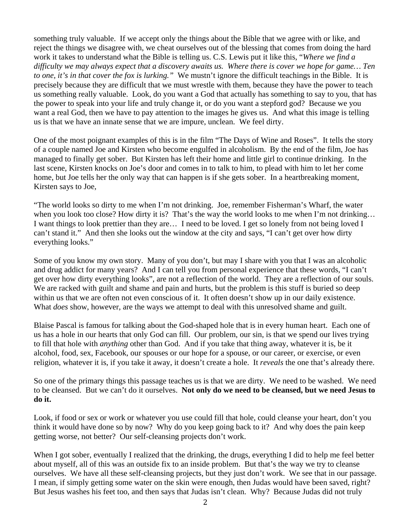something truly valuable. If we accept only the things about the Bible that we agree with or like, and reject the things we disagree with, we cheat ourselves out of the blessing that comes from doing the hard work it takes to understand what the Bible is telling us. C.S. Lewis put it like this, "*Where we find a difficulty we may always expect that a discovery awaits us. Where there is cover we hope for game… Ten to one, it's in that cover the fox is lurking."* We mustn't ignore the difficult teachings in the Bible. It is precisely because they are difficult that we must wrestle with them, because they have the power to teach us something really valuable. Look, do you want a God that actually has something to say to you, that has the power to speak into your life and truly change it, or do you want a stepford god? Because we you want a real God, then we have to pay attention to the images he gives us. And what this image is telling us is that we have an innate sense that we are impure, unclean. We feel dirty.

One of the most poignant examples of this is in the film "The Days of Wine and Roses". It tells the story of a couple named Joe and Kirsten who become engulfed in alcoholism. By the end of the film, Joe has managed to finally get sober. But Kirsten has left their home and little girl to continue drinking. In the last scene, Kirsten knocks on Joe's door and comes in to talk to him, to plead with him to let her come home, but Joe tells her the only way that can happen is if she gets sober. In a heartbreaking moment, Kirsten says to Joe,

"The world looks so dirty to me when I'm not drinking. Joe, remember Fisherman's Wharf, the water when you look too close? How dirty it is? That's the way the world looks to me when I'm not drinking... I want things to look prettier than they are… I need to be loved. I get so lonely from not being loved I can't stand it." And then she looks out the window at the city and says, "I can't get over how dirty everything looks."

Some of you know my own story. Many of you don't, but may I share with you that I was an alcoholic and drug addict for many years? And I can tell you from personal experience that these words, "I can't get over how dirty everything looks", are not a reflection of the world. They are a reflection of our souls. We are racked with guilt and shame and pain and hurts, but the problem is this stuff is buried so deep within us that we are often not even conscious of it. It often doesn't show up in our daily existence. What *does* show, however, are the ways we attempt to deal with this unresolved shame and guilt.

Blaise Pascal is famous for talking about the God-shaped hole that is in every human heart. Each one of us has a hole in our hearts that only God can fill. Our problem, our sin, is that we spend our lives trying to fill that hole with *anything* other than God. And if you take that thing away, whatever it is, be it alcohol, food, sex, Facebook, our spouses or our hope for a spouse, or our career, or exercise, or even religion, whatever it is, if you take it away, it doesn't create a hole. It *reveals* the one that's already there.

So one of the primary things this passage teaches us is that we are dirty. We need to be washed. We need to be cleansed. But we can't do it ourselves. **Not only do we need to be cleansed, but we need Jesus to do it.**

Look, if food or sex or work or whatever you use could fill that hole, could cleanse your heart, don't you think it would have done so by now? Why do you keep going back to it? And why does the pain keep getting worse, not better? Our self-cleansing projects don't work.

When I got sober, eventually I realized that the drinking, the drugs, everything I did to help me feel better about myself, all of this was an outside fix to an inside problem. But that's the way we try to cleanse ourselves. We have all these self-cleansing projects, but they just don't work. We see that in our passage. I mean, if simply getting some water on the skin were enough, then Judas would have been saved, right? But Jesus washes his feet too, and then says that Judas isn't clean. Why? Because Judas did not truly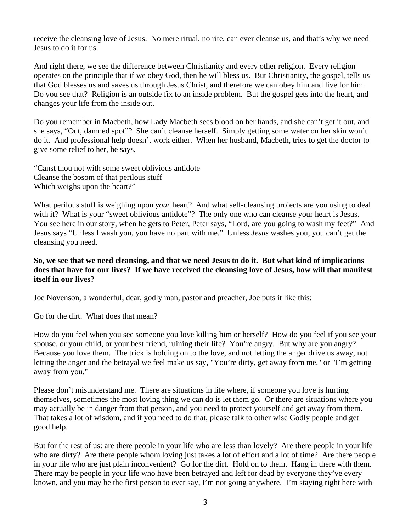receive the cleansing love of Jesus. No mere ritual, no rite, can ever cleanse us, and that's why we need Jesus to do it for us.

And right there, we see the difference between Christianity and every other religion. Every religion operates on the principle that if we obey God, then he will bless us. But Christianity, the gospel, tells us that God blesses us and saves us through Jesus Christ, and therefore we can obey him and live for him. Do you see that? Religion is an outside fix to an inside problem. But the gospel gets into the heart, and changes your life from the inside out.

Do you remember in Macbeth, how Lady Macbeth sees blood on her hands, and she can't get it out, and she says, "Out, damned spot"? She can't cleanse herself. Simply getting some water on her skin won't do it. And professional help doesn't work either. When her husband, Macbeth, tries to get the doctor to give some relief to her, he says,

"Canst thou not with some sweet oblivious antidote Cleanse the bosom of that perilous stuff Which weighs upon the heart?"

What perilous stuff is weighing upon *your* heart? And what self-cleansing projects are you using to deal with it? What is your "sweet oblivious antidote"? The only one who can cleanse your heart is Jesus. You see here in our story, when he gets to Peter, Peter says, "Lord, are you going to wash my feet?" And Jesus says "Unless I wash you, you have no part with me." Unless *Jesus* washes you, you can't get the cleansing you need.

## **So, we see that we need cleansing, and that we need Jesus to do it. But what kind of implications does that have for our lives? If we have received the cleansing love of Jesus, how will that manifest itself in our lives?**

Joe Novenson, a wonderful, dear, godly man, pastor and preacher, Joe puts it like this:

Go for the dirt. What does that mean?

How do you feel when you see someone you love killing him or herself? How do you feel if you see your spouse, or your child, or your best friend, ruining their life? You're angry. But why are you angry? Because you love them. The trick is holding on to the love, and not letting the anger drive us away, not letting the anger and the betrayal we feel make us say, "You're dirty, get away from me," or "I'm getting away from you."

Please don't misunderstand me. There are situations in life where, if someone you love is hurting themselves, sometimes the most loving thing we can do is let them go. Or there are situations where you may actually be in danger from that person, and you need to protect yourself and get away from them. That takes a lot of wisdom, and if you need to do that, please talk to other wise Godly people and get good help.

But for the rest of us: are there people in your life who are less than lovely? Are there people in your life who are dirty? Are there people whom loving just takes a lot of effort and a lot of time? Are there people in your life who are just plain inconvenient? Go for the dirt. Hold on to them. Hang in there with them. There may be people in your life who have been betrayed and left for dead by everyone they've every known, and you may be the first person to ever say, I'm not going anywhere. I'm staying right here with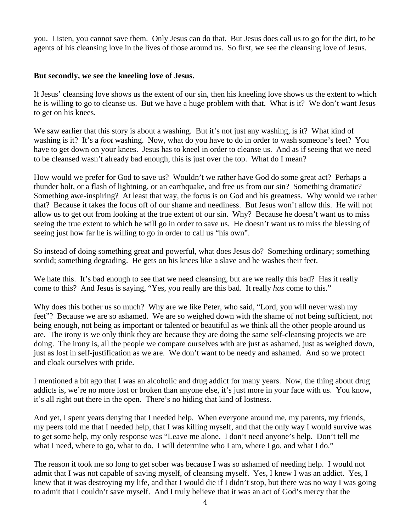you. Listen, you cannot save them. Only Jesus can do that. But Jesus does call us to go for the dirt, to be agents of his cleansing love in the lives of those around us. So first, we see the cleansing love of Jesus.

## **But secondly, we see the kneeling love of Jesus.**

If Jesus' cleansing love shows us the extent of our sin, then his kneeling love shows us the extent to which he is willing to go to cleanse us. But we have a huge problem with that. What is it? We don't want Jesus to get on his knees.

We saw earlier that this story is about a washing. But it's not just any washing, is it? What kind of washing is it? It's a *foot* washing. Now, what do you have to do in order to wash someone's feet? You have to get down on your knees. Jesus has to kneel in order to cleanse us. And as if seeing that we need to be cleansed wasn't already bad enough, this is just over the top. What do I mean?

How would we prefer for God to save us? Wouldn't we rather have God do some great act? Perhaps a thunder bolt, or a flash of lightning, or an earthquake, and free us from our sin? Something dramatic? Something awe-inspiring? At least that way, the focus is on God and his greatness. Why would we rather that? Because it takes the focus off of our shame and neediness. But Jesus won't allow this. He will not allow us to get out from looking at the true extent of our sin. Why? Because he doesn't want us to miss seeing the true extent to which he will go in order to save us. He doesn't want us to miss the blessing of seeing just how far he is willing to go in order to call us "his own".

So instead of doing something great and powerful, what does Jesus do? Something ordinary; something sordid; something degrading. He gets on his knees like a slave and he washes their feet.

We hate this. It's bad enough to see that we need cleansing, but are we really this bad? Has it really come to this? And Jesus is saying, "Yes, you really are this bad. It really *has* come to this."

Why does this bother us so much? Why are we like Peter, who said, "Lord, you will never wash my feet"? Because we are so ashamed. We are so weighed down with the shame of not being sufficient, not being enough, not being as important or talented or beautiful as we think all the other people around us are. The irony is we only think they are because they are doing the same self-cleansing projects we are doing. The irony is, all the people we compare ourselves with are just as ashamed, just as weighed down, just as lost in self-justification as we are. We don't want to be needy and ashamed. And so we protect and cloak ourselves with pride.

I mentioned a bit ago that I was an alcoholic and drug addict for many years. Now, the thing about drug addicts is, we're no more lost or broken than anyone else, it's just more in your face with us. You know, it's all right out there in the open. There's no hiding that kind of lostness.

And yet, I spent years denying that I needed help. When everyone around me, my parents, my friends, my peers told me that I needed help, that I was killing myself, and that the only way I would survive was to get some help, my only response was "Leave me alone. I don't need anyone's help. Don't tell me what I need, where to go, what to do. I will determine who I am, where I go, and what I do."

The reason it took me so long to get sober was because I was so ashamed of needing help. I would not admit that I was not capable of saving myself, of cleansing myself. Yes, I knew I was an addict. Yes, I knew that it was destroying my life, and that I would die if I didn't stop, but there was no way I was going to admit that I couldn't save myself. And I truly believe that it was an act of God's mercy that the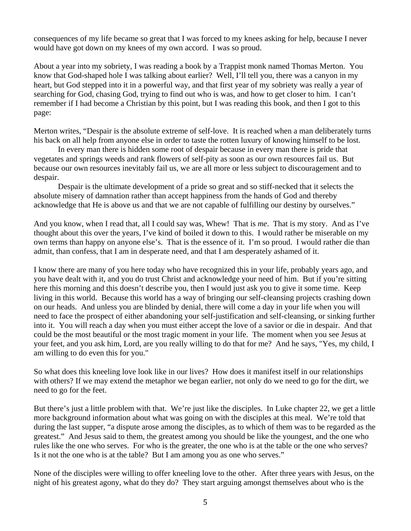consequences of my life became so great that I was forced to my knees asking for help, because I never would have got down on my knees of my own accord. I was so proud.

About a year into my sobriety, I was reading a book by a Trappist monk named Thomas Merton. You know that God-shaped hole I was talking about earlier? Well, I'll tell you, there was a canyon in my heart, but God stepped into it in a powerful way, and that first year of my sobriety was really a year of searching for God, chasing God, trying to find out who is was, and how to get closer to him. I can't remember if I had become a Christian by this point, but I was reading this book, and then I got to this page:

Merton writes, "Despair is the absolute extreme of self-love. It is reached when a man deliberately turns his back on all help from anyone else in order to taste the rotten luxury of knowing himself to be lost.

 In every man there is hidden some root of despair because in every man there is pride that vegetates and springs weeds and rank flowers of self-pity as soon as our own resources fail us. But because our own resources inevitably fail us, we are all more or less subject to discouragement and to despair.

 Despair is the ultimate development of a pride so great and so stiff-necked that it selects the absolute misery of damnation rather than accept happiness from the hands of God and thereby acknowledge that He is above us and that we are not capable of fulfilling our destiny by ourselves."

And you know, when I read that, all I could say was, Whew! That is *me*. That is my story. And as I've thought about this over the years, I've kind of boiled it down to this. I would rather be miserable on my own terms than happy on anyone else's. That is the essence of it. I'm so proud. I would rather die than admit, than confess, that I am in desperate need, and that I am desperately ashamed of it.

I know there are many of you here today who have recognized this in your life, probably years ago, and you have dealt with it, and you do trust Christ and acknowledge your need of him. But if you're sitting here this morning and this doesn't describe you, then I would just ask you to give it some time. Keep living in this world. Because this world has a way of bringing our self-cleansing projects crashing down on our heads. And unless you are blinded by denial, there will come a day in your life when you will need to face the prospect of either abandoning your self-justification and self-cleansing, or sinking further into it. You will reach a day when you must either accept the love of a savior or die in despair. And that could be the most beautiful or the most tragic moment in your life. The moment when you see Jesus at your feet, and you ask him, Lord, are you really willing to do that for me? And he says, "Yes, my child, I am willing to do even this for you."

So what does this kneeling love look like in our lives? How does it manifest itself in our relationships with others? If we may extend the metaphor we began earlier, not only do we need to go for the dirt, we need to go for the feet.

But there's just a little problem with that. We're just like the disciples. In Luke chapter 22, we get a little more background information about what was going on with the disciples at this meal. We're told that during the last supper, "a dispute arose among the disciples, as to which of them was to be regarded as the greatest." And Jesus said to them, the greatest among you should be like the youngest, and the one who rules like the one who serves. For who is the greater, the one who is at the table or the one who serves? Is it not the one who is at the table? But I am among you as one who serves."

None of the disciples were willing to offer kneeling love to the other. After three years with Jesus, on the night of his greatest agony, what do they do? They start arguing amongst themselves about who is the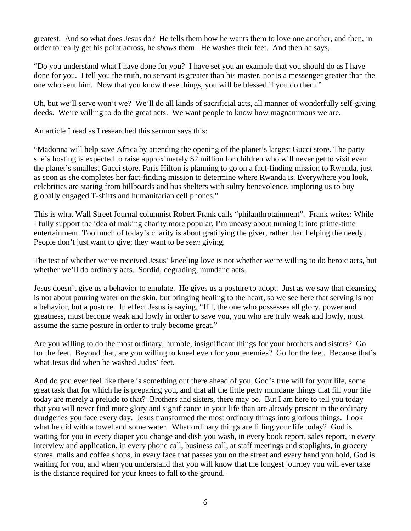greatest. And so what does Jesus do? He tells them how he wants them to love one another, and then, in order to really get his point across, he *shows* them. He washes their feet. And then he says,

"Do you understand what I have done for you? I have set you an example that you should do as I have done for you. I tell you the truth, no servant is greater than his master, nor is a messenger greater than the one who sent him. Now that you know these things, you will be blessed if you do them."

Oh, but we'll serve won't we? We'll do all kinds of sacrificial acts, all manner of wonderfully self-giving deeds. We're willing to do the great acts. We want people to know how magnanimous we are.

An article I read as I researched this sermon says this:

"Madonna will help save Africa by attending the opening of the planet's largest Gucci store. The party she's hosting is expected to raise approximately \$2 million for children who will never get to visit even the planet's smallest Gucci store. Paris Hilton is planning to go on a fact-finding mission to Rwanda, just as soon as she completes her fact-finding mission to determine where Rwanda is. Everywhere you look, celebrities are staring from billboards and bus shelters with sultry benevolence, imploring us to buy globally engaged T-shirts and humanitarian cell phones."

This is what Wall Street Journal columnist Robert Frank calls "philanthrotainment". Frank writes: While I fully support the idea of making charity more popular, I'm uneasy about turning it into prime-time entertainment. Too much of today's charity is about gratifying the giver, rather than helping the needy. People don't just want to give; they want to be *seen* giving.

The test of whether we've received Jesus' kneeling love is not whether we're willing to do heroic acts, but whether we'll do ordinary acts. Sordid, degrading, mundane acts.

Jesus doesn't give us a behavior to emulate. He gives us a posture to adopt. Just as we saw that cleansing is not about pouring water on the skin, but bringing healing to the heart, so we see here that serving is not a behavior, but a posture. In effect Jesus is saying, "If I, the one who possesses all glory, power and greatness, must become weak and lowly in order to save you, you who are truly weak and lowly, must assume the same posture in order to truly become great."

Are you willing to do the most ordinary, humble, insignificant things for your brothers and sisters? Go for the feet. Beyond that, are you willing to kneel even for your enemies? Go for the feet. Because that's what Jesus did when he washed Judas' feet.

And do you ever feel like there is something out there ahead of you, God's true will for your life, some great task that for which he is preparing you, and that all the little petty mundane things that fill your life today are merely a prelude to that? Brothers and sisters, there may be. But I am here to tell you today that you will never find more glory and significance in your life than are already present in the ordinary drudgeries you face every day. Jesus transformed the most ordinary things into glorious things. Look what he did with a towel and some water. What ordinary things are filling your life today? God is waiting for you in every diaper you change and dish you wash, in every book report, sales report, in every interview and application, in every phone call, business call, at staff meetings and stoplights, in grocery stores, malls and coffee shops, in every face that passes you on the street and every hand you hold, God is waiting for you, and when you understand that you will know that the longest journey you will ever take is the distance required for your knees to fall to the ground.